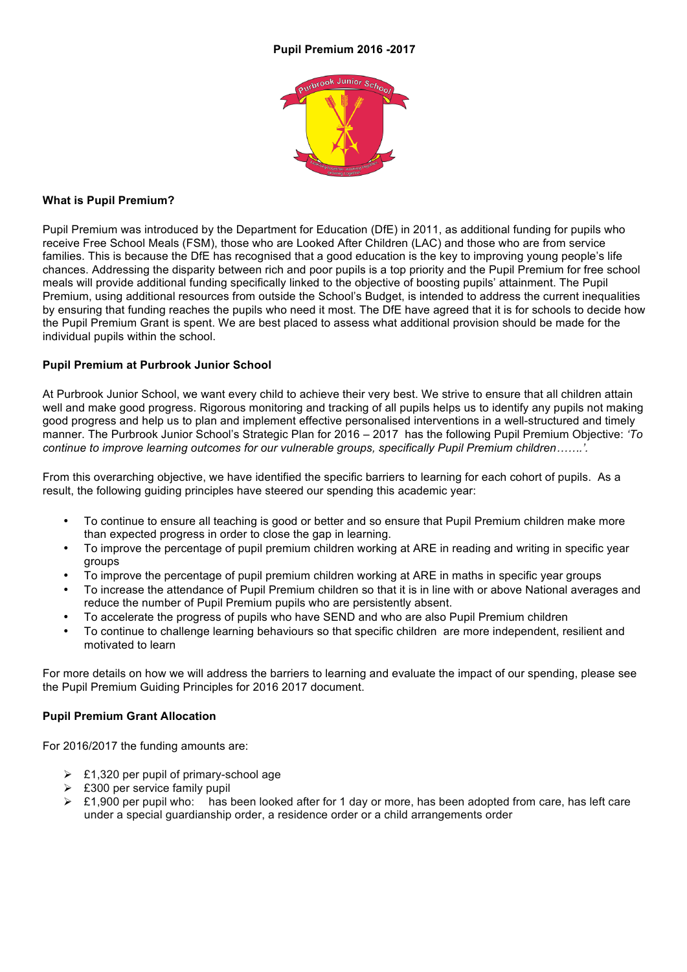### **Pupil Premium 2016 -2017**



#### **What is Pupil Premium?**

Pupil Premium was introduced by the Department for Education (DfE) in 2011, as additional funding for pupils who receive Free School Meals (FSM), those who are Looked After Children (LAC) and those who are from service families. This is because the DfE has recognised that a good education is the key to improving young people's life chances. Addressing the disparity between rich and poor pupils is a top priority and the Pupil Premium for free school meals will provide additional funding specifically linked to the objective of boosting pupils' attainment. The Pupil Premium, using additional resources from outside the School's Budget, is intended to address the current inequalities by ensuring that funding reaches the pupils who need it most. The DfE have agreed that it is for schools to decide how the Pupil Premium Grant is spent. We are best placed to assess what additional provision should be made for the individual pupils within the school.

### **Pupil Premium at Purbrook Junior School**

At Purbrook Junior School, we want every child to achieve their very best. We strive to ensure that all children attain well and make good progress. Rigorous monitoring and tracking of all pupils helps us to identify any pupils not making good progress and help us to plan and implement effective personalised interventions in a well-structured and timely manner. The Purbrook Junior School's Strategic Plan for 2016 – 2017 has the following Pupil Premium Objective: *'To continue to improve learning outcomes for our vulnerable groups, specifically Pupil Premium children…….'.*

From this overarching objective, we have identified the specific barriers to learning for each cohort of pupils. As a result, the following guiding principles have steered our spending this academic year:

- To continue to ensure all teaching is good or better and so ensure that Pupil Premium children make more than expected progress in order to close the gap in learning.
- To improve the percentage of pupil premium children working at ARE in reading and writing in specific year groups
- To improve the percentage of pupil premium children working at ARE in maths in specific year groups
- To increase the attendance of Pupil Premium children so that it is in line with or above National averages and reduce the number of Pupil Premium pupils who are persistently absent.
- To accelerate the progress of pupils who have SEND and who are also Pupil Premium children
- To continue to challenge learning behaviours so that specific children are more independent, resilient and motivated to learn

For more details on how we will address the barriers to learning and evaluate the impact of our spending, please see the Pupil Premium Guiding Principles for 2016 2017 document.

## **Pupil Premium Grant Allocation**

For 2016/2017 the funding amounts are:

- $\geq$  £1,320 per pupil of primary-school age
- $\geqslant$  £300 per service family pupil
- $\triangleright$  £1,900 per pupil who: has been looked after for 1 day or more, has been adopted from care, has left care under a special guardianship order, a residence order or a child arrangements order